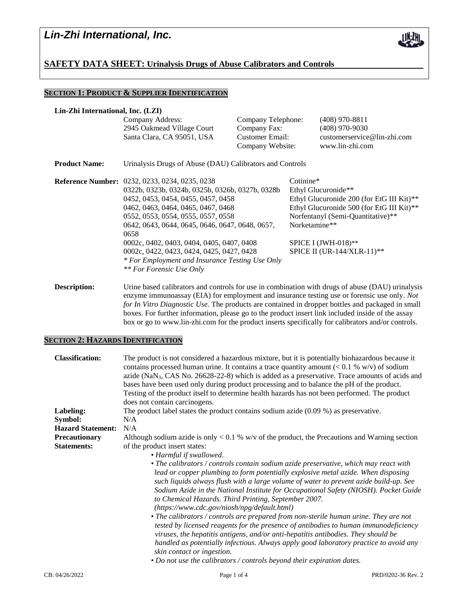

## **SAFETY DATA SHEET: Urinalysis Drugs of Abuse Calibrators and Controls**

## **SECTION 1: PRODUCT & SUPPLIER IDENTIFICATION**

| Lin-Zhi International, Inc. (LZI) |                                                                                                                                                                                                                                                                                                                                                                                                                                                                       |                                     |                                                                                                                                                                                                                                            |                                                |
|-----------------------------------|-----------------------------------------------------------------------------------------------------------------------------------------------------------------------------------------------------------------------------------------------------------------------------------------------------------------------------------------------------------------------------------------------------------------------------------------------------------------------|-------------------------------------|--------------------------------------------------------------------------------------------------------------------------------------------------------------------------------------------------------------------------------------------|------------------------------------------------|
|                                   | Company Address:<br>2945 Oakmead Village Court                                                                                                                                                                                                                                                                                                                                                                                                                        | Company Telephone:<br>Company Fax:  |                                                                                                                                                                                                                                            | $(408)$ 970-8811<br>$(408)$ 970-9030           |
|                                   | Santa Clara, CA 95051, USA                                                                                                                                                                                                                                                                                                                                                                                                                                            | Customer Email:<br>Company Website: |                                                                                                                                                                                                                                            | customerservice@lin-zhi.com<br>www.lin-zhi.com |
| <b>Product Name:</b>              | Urinalysis Drugs of Abuse (DAU) Calibrators and Controls                                                                                                                                                                                                                                                                                                                                                                                                              |                                     |                                                                                                                                                                                                                                            |                                                |
|                                   | <b>Reference Number:</b> 0232, 0233, 0234, 0235, 0238<br>0322b, 0323b, 0324b, 0325b, 0326b, 0327b, 0328b<br>0452, 0453, 0454, 0455, 0457, 0458<br>0462, 0463, 0464, 0465, 0467, 0468<br>0552, 0553, 0554, 0555, 0557, 0558<br>0642, 0643, 0644, 0645, 0646, 0647, 0648, 0657,<br>0658<br>0002c, 0402, 0403, 0404, 0405, 0407, 0408<br>0002c, 0422, 0423, 0424, 0425, 0427, 0428<br>* For Employment and Insurance Testing Use Only<br><i>** For Forensic Use Only</i> |                                     | $Cotinine*$<br>Ethyl Glucuronide**<br>Ethyl Glucuronide 200 (for EtG III Kit)**<br>Ethyl Glucuronide 500 (for EtG III Kit)**<br>Norfentanyl (Semi-Quantitative)**<br>Norketamine**<br>SPICE I $(JWH-018)$ **<br>SPICE II (UR-144/XLR-11)** |                                                |

**Description:** Urine based calibrators and controls for use in combination with drugs of abuse (DAU) urinalysis enzyme immunoassay (EIA) for employment and insurance testing use or forensic use only. *Not for In Vitro Diagnostic Use.* The products are contained in dropper bottles and packaged in small boxes. For further information, please go to the product insert link included inside of the assay box or go to www.lin-zhi.com for the product inserts specifically for calibrators and/or controls.

## **SECTION 2: HAZARDS IDENTIFICATION**

| <b>Classification:</b>   | The product is not considered a hazardous mixture, but it is potentially biohazardous because it<br>contains processed human urine. It contains a trace quantity amount $(< 0.1 %$ w/v) of sodium<br>azide ( $\text{NaN}_3$ , CAS No. 26628-22-8) which is added as a preservative. Trace amounts of acids and<br>bases have been used only during product processing and to balance the pH of the product.<br>Testing of the product itself to determine health hazards has not been performed. The product<br>does not contain carcinogens.                                                                                                                                                                                                                                                                                                                                                                                            |  |  |  |
|--------------------------|------------------------------------------------------------------------------------------------------------------------------------------------------------------------------------------------------------------------------------------------------------------------------------------------------------------------------------------------------------------------------------------------------------------------------------------------------------------------------------------------------------------------------------------------------------------------------------------------------------------------------------------------------------------------------------------------------------------------------------------------------------------------------------------------------------------------------------------------------------------------------------------------------------------------------------------|--|--|--|
| Labeling:                | The product label states the product contains sodium azide $(0.09\%)$ as preservative.                                                                                                                                                                                                                                                                                                                                                                                                                                                                                                                                                                                                                                                                                                                                                                                                                                                   |  |  |  |
| Symbol:                  | N/A                                                                                                                                                                                                                                                                                                                                                                                                                                                                                                                                                                                                                                                                                                                                                                                                                                                                                                                                      |  |  |  |
| <b>Hazard Statement:</b> | N/A                                                                                                                                                                                                                                                                                                                                                                                                                                                                                                                                                                                                                                                                                                                                                                                                                                                                                                                                      |  |  |  |
| Precautionary            | Although sodium azide is only $< 0.1$ % w/v of the product, the Precautions and Warning section                                                                                                                                                                                                                                                                                                                                                                                                                                                                                                                                                                                                                                                                                                                                                                                                                                          |  |  |  |
| <b>Statements:</b>       | of the product insert states:                                                                                                                                                                                                                                                                                                                                                                                                                                                                                                                                                                                                                                                                                                                                                                                                                                                                                                            |  |  |  |
|                          | • Harmful if swallowed.                                                                                                                                                                                                                                                                                                                                                                                                                                                                                                                                                                                                                                                                                                                                                                                                                                                                                                                  |  |  |  |
|                          | • The calibrators / controls contain sodium azide preservative, which may react with<br>lead or copper plumbing to form potentially explosive metal azide. When disposing<br>such liquids always flush with a large volume of water to prevent azide build-up. See<br>Sodium Azide in the National Institute for Occupational Safety (NIOSH). Pocket Guide<br>to Chemical Hazards. Third Printing, September 2007.<br>(https://www.cdc.gov/niosh/npg/default.html)<br>• The calibrators / controls are prepared from non-sterile human urine. They are not<br>tested by licensed reagents for the presence of antibodies to human immunodeficiency<br>viruses, the hepatitis antigens, and/or anti-hepatitis antibodies. They should be<br>handled as potentially infectious. Always apply good laboratory practice to avoid any<br>skin contact or ingestion.<br>• Do not use the calibrators / controls beyond their expiration dates. |  |  |  |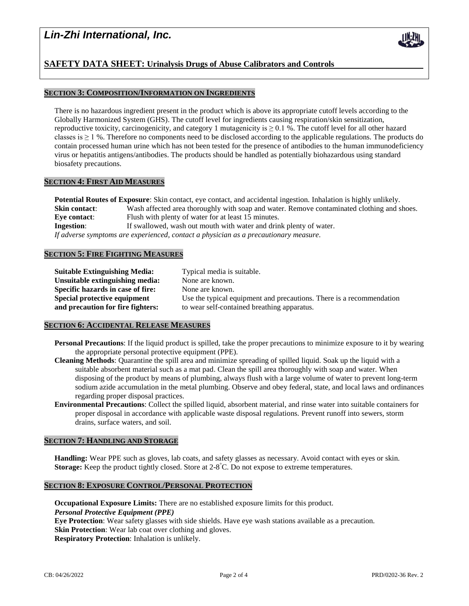# *Lin-Zhi International, Inc.*



## **SECTION 3: COMPOSITION/INFORMATION ON INGREDIENTS**

There is no hazardous ingredient present in the product which is above its appropriate cutoff levels according to the Globally Harmonized System (GHS). The cutoff level for ingredients causing respiration/skin sensitization, reproductive toxicity, carcinogenicity, and category 1 mutagenicity is  $\geq 0.1$  %. The cutoff level for all other hazard classes is  $\geq 1$  %. Therefore no components need to be disclosed according to the applicable regulations. The products do contain processed human urine which has not been tested for the presence of antibodies to the human immunodeficiency virus or hepatitis antigens/antibodies. The products should be handled as potentially biohazardous using standard biosafety precautions.

#### **SECTION 4: FIRST AID MEASURES**

**Potential Routes of Exposure**: Skin contact, eye contact, and accidental ingestion. Inhalation is highly unlikely. **Skin contact:** Wash affected area thoroughly with soap and water. Remove contaminated clothing and shoes. **Eye contact:** Flush with plenty of water for at least 15 minutes. **Ingestion:** If swallowed, wash out mouth with water and drink plenty of water. *If adverse symptoms are experienced, contact a physician as a precautionary measure.*

#### **SECTION 5: FIRE FIGHTING MEASURES**

| Suitable Extinguishing Media:     | Typical media is suitable.                                           |
|-----------------------------------|----------------------------------------------------------------------|
| Unsuitable extinguishing media:   | None are known.                                                      |
| Specific hazards in case of fire: | None are known.                                                      |
| Special protective equipment      | Use the typical equipment and precautions. There is a recommendation |
| and precaution for fire fighters: | to wear self-contained breathing apparatus.                          |

### **SECTION 6: ACCIDENTAL RELEASE MEASURES**

- **Personal Precautions**: If the liquid product is spilled, take the proper precautions to minimize exposure to it by wearing the appropriate personal protective equipment (PPE).
- **Cleaning Methods**: Quarantine the spill area and minimize spreading of spilled liquid. Soak up the liquid with a suitable absorbent material such as a mat pad. Clean the spill area thoroughly with soap and water. When disposing of the product by means of plumbing, always flush with a large volume of water to prevent long-term sodium azide accumulation in the metal plumbing. Observe and obey federal, state, and local laws and ordinances regarding proper disposal practices.
- **Environmental Precautions**: Collect the spilled liquid, absorbent material, and rinse water into suitable containers for proper disposal in accordance with applicable waste disposal regulations. Prevent runoff into sewers, storm drains, surface waters, and soil.

#### **SECTION 7: HANDLING AND STORAGE**

**Handling:** Wear PPE such as gloves, lab coats, and safety glasses as necessary. Avoid contact with eyes or skin. **Storage:** Keep the product tightly closed. Store at 2-8 °C. Do not expose to extreme temperatures.

### **SECTION 8: EXPOSURE CONTROL/PERSONAL PROTECTION**

**Occupational Exposure Limits:** There are no established exposure limits for this product. *Personal Protective Equipment (PPE)* **Eye Protection**: Wear safety glasses with side shields. Have eye wash stations available as a precaution. **Skin Protection**: Wear lab coat over clothing and gloves. **Respiratory Protection**: Inhalation is unlikely.

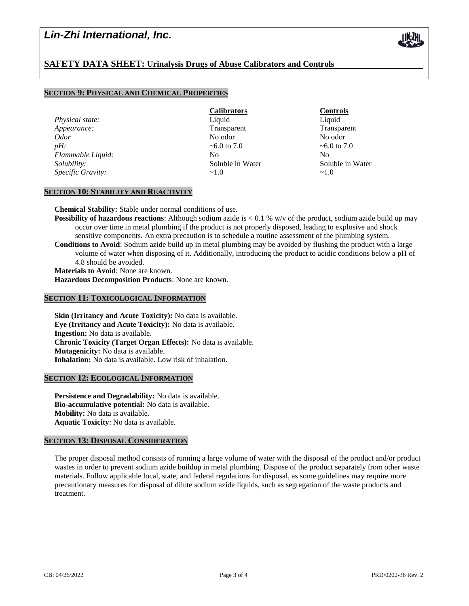# *Lin-Zhi International, Inc.*

## **SAFETY DATA SHEET: Urinalysis Drugs of Abuse Calibrators and Controls**

## **SECTION 9: PHYSICAL AND CHEMICAL PROPERTIES**

**Physical state:** Liquid Liquid Liquid Liquid Liquid Liquid Liquid Liquid Liquid Liquid Liquid Liquid Liquid Liquid Liquid Liquid Liquid Liquid Liquid Liquid Liquid Liquid Liquid Liquid Liquid Liquid Liquid Liquid Liquid L *Appearance:* Transparent Transparent Transparent Transparent *Odor* No odor No odor *pH:*  $\sim$  6.0 to 7.0  $\sim$  6.0 to 7.0  $\sim$  6.0 to 7.0 *Flammable Liquid:* No No No No No *Solubility:* Soluble in Water Soluble in Water *Specific Gravity:*  $\sim$ 1.0  $\sim$ 1.0

**Calibrators Controls**

## **SECTION 10: STABILITY AND REACTIVITY**

**Chemical Stability:** Stable under normal conditions of use.

**Possibility of hazardous reactions**: Although sodium azide is  $< 0.1$  % w/v of the product, sodium azide build up may occur over time in metal plumbing if the product is not properly disposed, leading to explosive and shock sensitive components. An extra precaution is to schedule a routine assessment of the plumbing system. **Conditions to Avoid**: Sodium azide build up in metal plumbing may be avoided by flushing the product with a large volume of water when disposing of it. Additionally, introducing the product to acidic conditions below a pH of 4.8 should be avoided.

**Materials to Avoid**: None are known. **Hazardous Decomposition Products**: None are known.

### **SECTION 11: TOXICOLOGICAL INFORMATION**

**Skin (Irritancy and Acute Toxicity):** No data is available. **Eye (Irritancy and Acute Toxicity):** No data is available. **Ingestion:** No data is available. **Chronic Toxicity (Target Organ Effects):** No data is available. **Mutagenicity:** No data is available. **Inhalation:** No data is available. Low risk of inhalation.

## **SECTION 12: ECOLOGICAL INFORMATION**

**Persistence and Degradability:** No data is available. **Bio-accumulative potential:** No data is available. **Mobility:** No data is available. **Aquatic Toxicity**: No data is available.

#### **SECTION 13: DISPOSAL CONSIDERATION**

The proper disposal method consists of running a large volume of water with the disposal of the product and/or product wastes in order to prevent sodium azide buildup in metal plumbing. Dispose of the product separately from other waste materials. Follow applicable local, state, and federal regulations for disposal, as some guidelines may require more precautionary measures for disposal of dilute sodium azide liquids, such as segregation of the waste products and treatment.